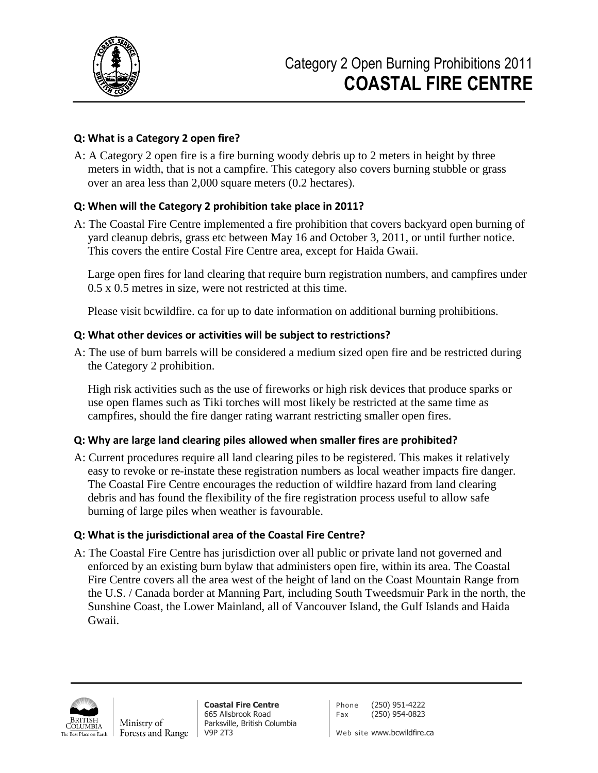

### **Q: What is a Category 2 open fire?**

A: A Category 2 open fire is a fire burning woody debris up to 2 meters in height by three meters in width, that is not a campfire. This category also covers burning stubble or grass over an area less than 2,000 square meters (0.2 hectares).

### **Q: When will the Category 2 prohibition take place in 2011?**

A: The Coastal Fire Centre implemented a fire prohibition that covers backyard open burning of yard cleanup debris, grass etc between May 16 and October 3, 2011, or until further notice. This covers the entire Costal Fire Centre area, except for Haida Gwaii.

Large open fires for land clearing that require burn registration numbers, and campfires under 0.5 x 0.5 metres in size, were not restricted at this time.

Please visit bcwildfire. ca for up to date information on additional burning prohibitions.

### **Q: What other devices or activities will be subject to restrictions?**

A: The use of burn barrels will be considered a medium sized open fire and be restricted during the Category 2 prohibition.

High risk activities such as the use of fireworks or high risk devices that produce sparks or use open flames such as Tiki torches will most likely be restricted at the same time as campfires, should the fire danger rating warrant restricting smaller open fires.

### **Q: Why are large land clearing piles allowed when smaller fires are prohibited?**

A: Current procedures require all land clearing piles to be registered. This makes it relatively easy to revoke or re-instate these registration numbers as local weather impacts fire danger. The Coastal Fire Centre encourages the reduction of wildfire hazard from land clearing debris and has found the flexibility of the fire registration process useful to allow safe burning of large piles when weather is favourable.

# **Q: What is the jurisdictional area of the Coastal Fire Centre?**

A: The Coastal Fire Centre has jurisdiction over all public or private land not governed and enforced by an existing burn bylaw that administers open fire, within its area. The Coastal Fire Centre covers all the area west of the height of land on the Coast Mountain Range from the U.S. / Canada border at Manning Part, including South Tweedsmuir Park in the north, the Sunshine Coast, the Lower Mainland, all of Vancouver Island, the Gulf Islands and Haida Gwaii.



**Coastal Fire Centre** 665 Allsbrook Road Parksville, British Columbia V9P 2T3

Phone (250) 951-4222 Fax (250) 954-0823

Web site www.bcwildfire.ca